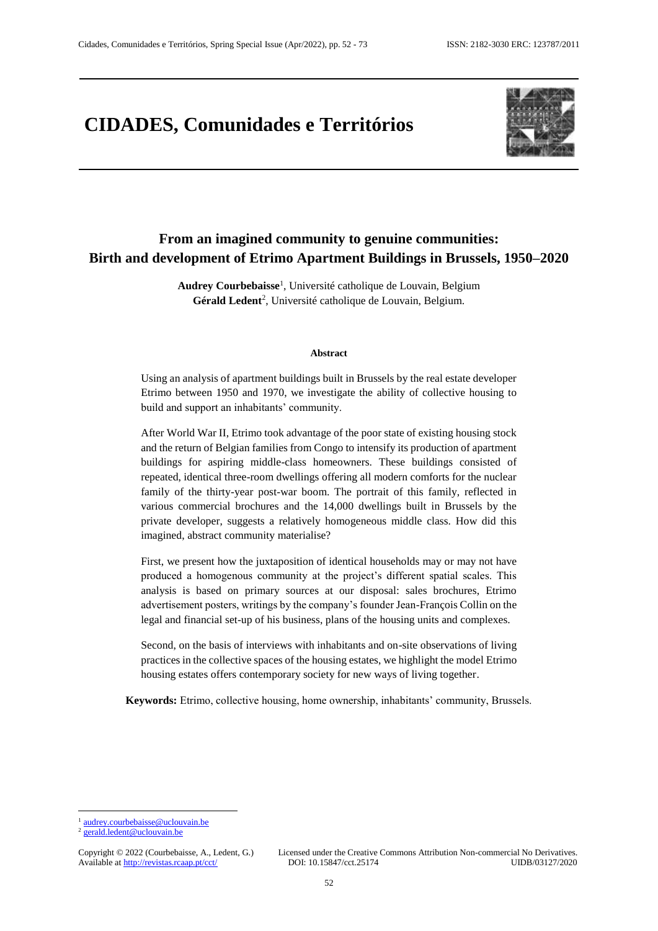# **CIDADES, Comunidades e Territórios**



# **From an imagined community to genuine communities: Birth and development of Etrimo Apartment Buildings in Brussels, 1950–2020**

**Audrey Courbebaisse**<sup>1</sup> , Université catholique de Louvain, Belgium Gérald Ledent<sup>2</sup>, Université catholique de Louvain, Belgium.

#### **Abstract**

Using an analysis of apartment buildings built in Brussels by the real estate developer Etrimo between 1950 and 1970, we investigate the ability of collective housing to build and support an inhabitants' community.

After World War II, Etrimo took advantage of the poor state of existing housing stock and the return of Belgian families from Congo to intensify its production of apartment buildings for aspiring middle-class homeowners. These buildings consisted of repeated, identical three-room dwellings offering all modern comforts for the nuclear family of the thirty-year post-war boom. The portrait of this family, reflected in various commercial brochures and the 14,000 dwellings built in Brussels by the private developer, suggests a relatively homogeneous middle class. How did this imagined, abstract community materialise?

First, we present how the juxtaposition of identical households may or may not have produced a homogenous community at the project's different spatial scales. This analysis is based on primary sources at our disposal: sales brochures, Etrimo advertisement posters, writings by the company's founder Jean-François Collin on the legal and financial set-up of his business, plans of the housing units and complexes.

Second, on the basis of interviews with inhabitants and on-site observations of living practices in the collective spaces of the housing estates, we highlight the model Etrimo housing estates offers contemporary society for new ways of living together.

**Keywords:** Etrimo, collective housing, home ownership, inhabitants' community, Brussels.

 $\overline{a}$ <sup>1</sup> [audrey.courbebaisse@uclouvain.be](mailto:audrey.courbebaisse@uclouvain.be)

<sup>2</sup> [gerald.ledent@uclouvain.be](mailto:gerald.ledent@uclouvain.be)

Available at http://revistas.rcaap.pt/cct/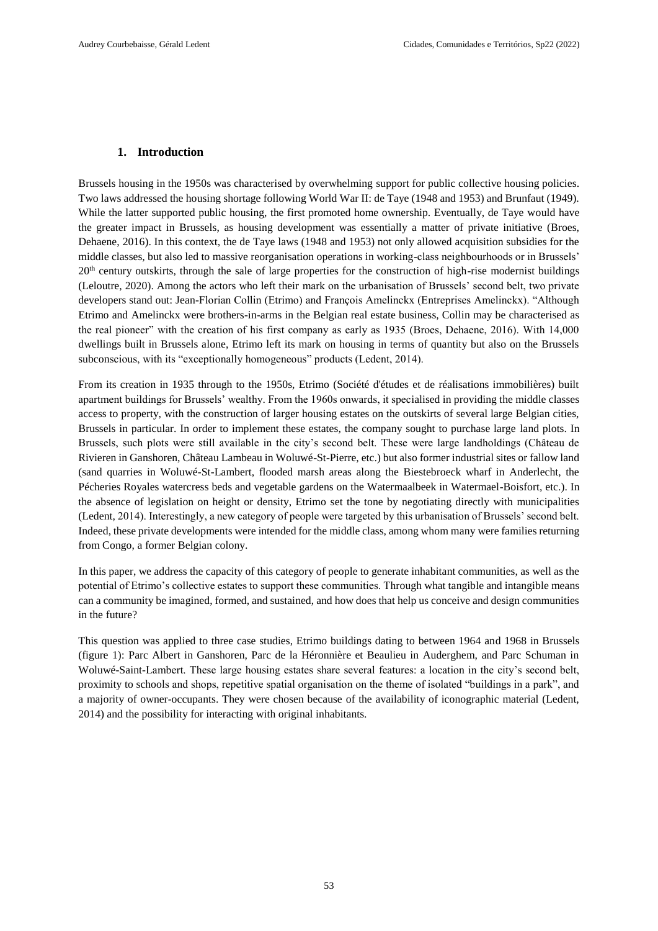# **1. Introduction**

Brussels housing in the 1950s was characterised by overwhelming support for public collective housing policies. Two laws addressed the housing shortage following World War II: de Taye (1948 and 1953) and Brunfaut (1949). While the latter supported public housing, the first promoted home ownership. Eventually, de Taye would have the greater impact in Brussels, as housing development was essentially a matter of private initiative (Broes, Dehaene, 2016). In this context, the de Taye laws (1948 and 1953) not only allowed acquisition subsidies for the middle classes, but also led to massive reorganisation operations in working-class neighbourhoods or in Brussels' 20<sup>th</sup> century outskirts, through the sale of large properties for the construction of high-rise modernist buildings (Leloutre, 2020). Among the actors who left their mark on the urbanisation of Brussels' second belt, two private developers stand out: Jean-Florian Collin (Etrimo) and François Amelinckx (Entreprises Amelinckx). "Although Etrimo and Amelinckx were brothers-in-arms in the Belgian real estate business, Collin may be characterised as the real pioneer" with the creation of his first company as early as 1935 (Broes, Dehaene, 2016). With 14,000 dwellings built in Brussels alone, Etrimo left its mark on housing in terms of quantity but also on the Brussels subconscious, with its "exceptionally homogeneous" products (Ledent, 2014).

From its creation in 1935 through to the 1950s, Etrimo (Société d'études et de réalisations immobilières) built apartment buildings for Brussels' wealthy. From the 1960s onwards, it specialised in providing the middle classes access to property, with the construction of larger housing estates on the outskirts of several large Belgian cities, Brussels in particular. In order to implement these estates, the company sought to purchase large land plots. In Brussels, such plots were still available in the city's second belt. These were large landholdings (Château de Rivieren in Ganshoren, Château Lambeau in Woluwé-St-Pierre, etc.) but also former industrial sites or fallow land (sand quarries in Woluwé-St-Lambert, flooded marsh areas along the Biestebroeck wharf in Anderlecht, the Pécheries Royales watercress beds and vegetable gardens on the Watermaalbeek in Watermael-Boisfort, etc.). In the absence of legislation on height or density, Etrimo set the tone by negotiating directly with municipalities (Ledent, 2014). Interestingly, a new category of people were targeted by this urbanisation of Brussels' second belt. Indeed, these private developments were intended for the middle class, among whom many were families returning from Congo, a former Belgian colony.

In this paper, we address the capacity of this category of people to generate inhabitant communities, as well as the potential of Etrimo's collective estates to support these communities. Through what tangible and intangible means can a community be imagined, formed, and sustained, and how does that help us conceive and design communities in the future?

This question was applied to three case studies, Etrimo buildings dating to between 1964 and 1968 in Brussels (figure 1): Parc Albert in Ganshoren, Parc de la Héronnière et Beaulieu in Auderghem, and Parc Schuman in Woluwé-Saint-Lambert. These large housing estates share several features: a location in the city's second belt, proximity to schools and shops, repetitive spatial organisation on the theme of isolated "buildings in a park", and a majority of owner-occupants. They were chosen because of the availability of iconographic material (Ledent, 2014) and the possibility for interacting with original inhabitants.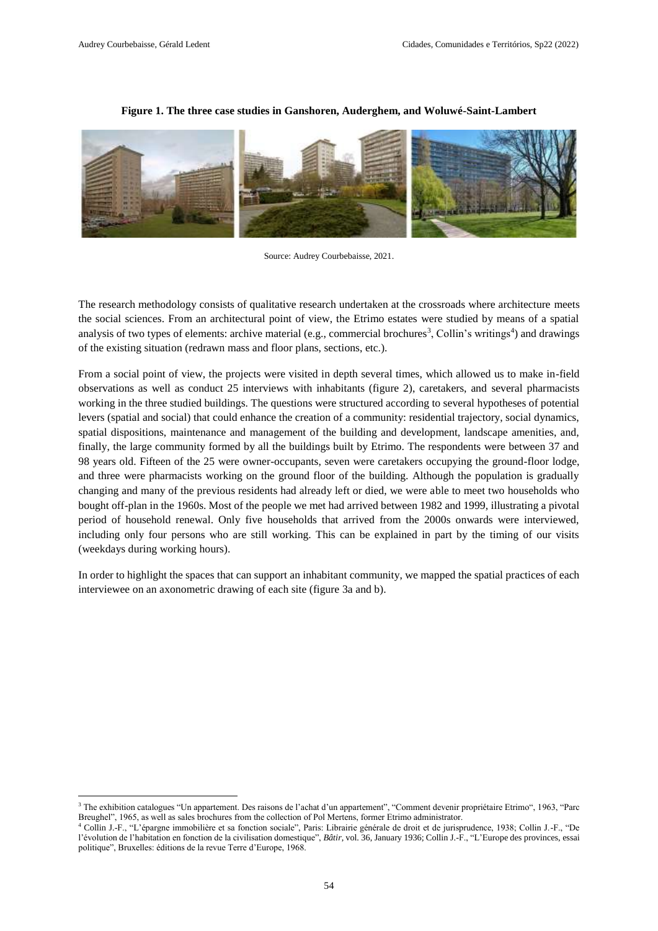$\overline{\phantom{a}}$ 

# **Figure 1. The three case studies in Ganshoren, Auderghem, and Woluwé-Saint-Lambert**



Source: Audrey Courbebaisse, 2021.

The research methodology consists of qualitative research undertaken at the crossroads where architecture meets the social sciences. From an architectural point of view, the Etrimo estates were studied by means of a spatial analysis of two types of elements: archive material (e.g., commercial brochures<sup>3</sup>, Collin's writings<sup>4</sup>) and drawings of the existing situation (redrawn mass and floor plans, sections, etc.).

From a social point of view, the projects were visited in depth several times, which allowed us to make in-field observations as well as conduct 25 interviews with inhabitants (figure 2), caretakers, and several pharmacists working in the three studied buildings. The questions were structured according to several hypotheses of potential levers (spatial and social) that could enhance the creation of a community: residential trajectory, social dynamics, spatial dispositions, maintenance and management of the building and development, landscape amenities, and, finally, the large community formed by all the buildings built by Etrimo. The respondents were between 37 and 98 years old. Fifteen of the 25 were owner-occupants, seven were caretakers occupying the ground-floor lodge, and three were pharmacists working on the ground floor of the building. Although the population is gradually changing and many of the previous residents had already left or died, we were able to meet two households who bought off-plan in the 1960s. Most of the people we met had arrived between 1982 and 1999, illustrating a pivotal period of household renewal. Only five households that arrived from the 2000s onwards were interviewed, including only four persons who are still working. This can be explained in part by the timing of our visits (weekdays during working hours).

In order to highlight the spaces that can support an inhabitant community, we mapped the spatial practices of each interviewee on an axonometric drawing of each site (figure 3a and b).

<sup>3</sup> The exhibition catalogues "Un appartement. Des raisons de l'achat d'un appartement", "Comment devenir propriétaire Etrimo", 1963, "Parc Breughel", 1965, as well as sales brochures from the collection of Pol Mertens, former Etrimo administrator.

<sup>4</sup> Collin J.-F., "L'épargne immobilière et sa fonction sociale", Paris: Librairie générale de droit et de jurisprudence, 1938; Collin J.-F., "De l'évolution de l'habitation en fonction de la civilisation domestique", *Bâtir*, vol. 36, January 1936; Collin J.-F., "L'Europe des provinces, essai politique", Bruxelles: éditions de la revue Terre d'Europe, 1968.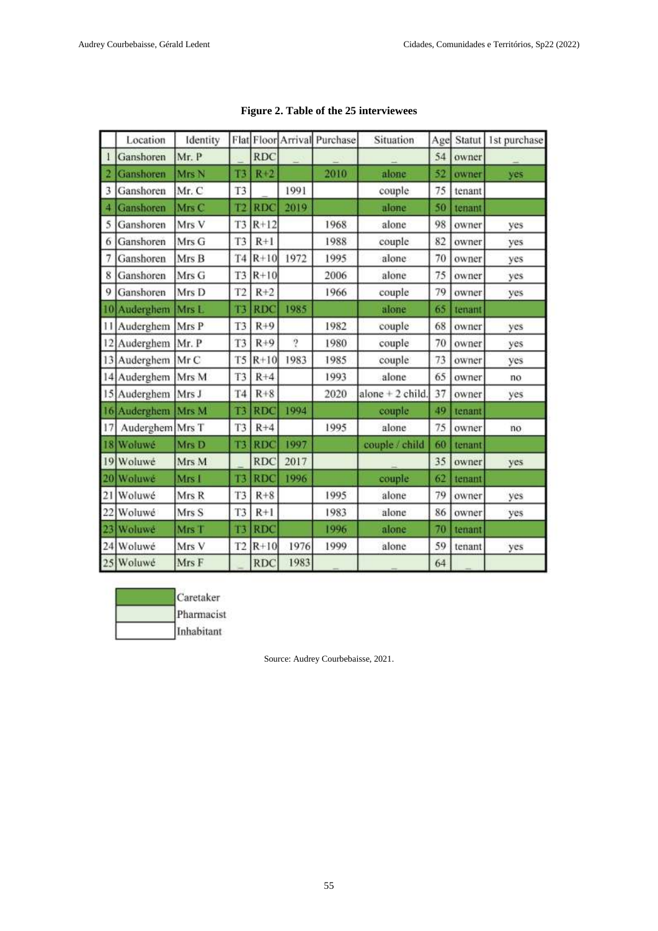|    | Location        | Identity |                 |            |                | Flat Floor Arrival Purchase | Situation         | Age |        | Statut 1st purchase |
|----|-----------------|----------|-----------------|------------|----------------|-----------------------------|-------------------|-----|--------|---------------------|
|    | Ganshoren       | Mr. P    |                 | <b>RDC</b> |                |                             |                   | 54  | owner  |                     |
|    | Ganshoren       | Mrs N    | T3              | $R+2$      |                | 2010                        | alone             | 52  | owner  | yes                 |
| 3  | Ganshoren       | Mr. C    | T <sub>3</sub>  |            | 1991           |                             | couple            | 75  | tenant |                     |
| 4  | Ganshoren       | Mrs C    | $\overline{12}$ | <b>RDC</b> | 2019           |                             | alone             | 50  | tenant |                     |
| 5  | Ganshoren       | Mrs V    | T <sub>3</sub>  | $R+12$     |                | 1968                        | alone             | 98  | owner  | yes                 |
| 6  | Ganshoren       | Mrs G    | T <sub>3</sub>  | $R+1$      |                | 1988                        | couple            | 82  | owner  | yes                 |
| 7  | Ganshoren       | Mrs B    | T <sub>4</sub>  | $R+10$     | 1972           | 1995                        | alone             | 70  | owner  | yes                 |
| 8  | Ganshoren       | Mrs G    | T <sub>3</sub>  | $R+10$     |                | 2006                        | alone             | 75  | owner  | yes                 |
| 9  | Ganshoren       | Mrs D    | T <sub>2</sub>  | $R+2$      |                | 1966                        | couple            | 79  | owner  | yes                 |
|    | 10 Auderghem    | Mrs L    | $\mathbf{L}$    | <b>RDC</b> | 1985           |                             | alone             | 65  | tenant |                     |
|    | 11 Auderghem    | Mrs P    | T <sub>3</sub>  | $R + 9$    |                | 1982                        | couple            | 68  | owner  | yes                 |
|    | 12 Auderghem    | Mr. P    | T <sub>3</sub>  | $R+9$      | $\overline{2}$ | 1980                        | couple            | 70  | owner  | yes                 |
|    | 13 Auderghem    | Mr C     | T <sub>5</sub>  | $R+10$     | 1983           | 1985                        | couple            | 73  | owner  | yes                 |
|    | 14 Auderghem    | Mrs M    | T <sub>3</sub>  | $R + 4$    |                | 1993                        | alone             | 65  | owner  | no                  |
|    | 15 Auderghem    | Mrs J    | <b>T4</b>       | $R + 8$    |                | 2020                        | alone $+2$ child. | 37  | owner  | yes                 |
|    | 16 Auderghem    | Mrs M    | T <sub>3</sub>  | <b>RDC</b> | 1994           |                             | couple.           | 49  | tenant |                     |
| 17 | Auderghem Mrs T |          | T <sub>3</sub>  | $R+4$      |                | 1995                        | alone             | 75  | owner  | no                  |
|    | 18 Woluwé       | Mrs D    | T3              | <b>RDC</b> | 1997           |                             | couple / child    | 60  | tenant |                     |
|    | 19 Woluwé       | Mrs M    |                 | <b>RDC</b> | 2017           |                             |                   | 35  | owner  | yes                 |
|    | 20 Woluwe       | Mrs I    | T <sub>3</sub>  | <b>RDC</b> | 1996           |                             | couple            | 62  | tenant |                     |
|    | 21 Woluwé       | Mrs R    | T <sub>3</sub>  | $R + 8$    |                | 1995                        | alone             | 79  | owner  | yes                 |
| 22 | Woluwé          | Mrs S    | T <sub>3</sub>  | $R+1$      |                | 1983                        | alone             | 86  | owner  | yes                 |
|    | Woluwé          | Mrs T    | $13$            | <b>RDC</b> |                | 1996                        | alone             | 70  | tenant |                     |
|    | 24 Woluwé       | Mrs V    | T <sub>2</sub>  | $R+10$     | 1976           | 1999                        | alone             | 59  | tenant | yes                 |
|    | 25 Woluwé       | Mrs F    |                 | <b>RDC</b> | 1983           |                             |                   | 64  |        |                     |

|  |  |  |  | Figure 2. Table of the 25 interviewees |
|--|--|--|--|----------------------------------------|
|--|--|--|--|----------------------------------------|

Caretaker Pharmacist Inhabitant

Source: Audrey Courbebaisse, 2021.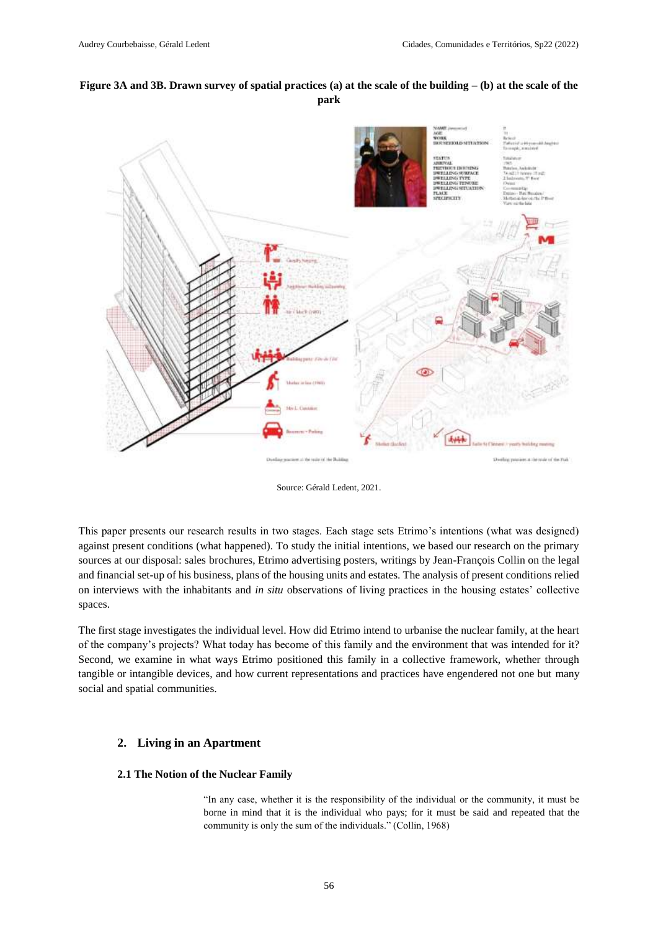# **Figure 3A and 3B. Drawn survey of spatial practices (a) at the scale of the building – (b) at the scale of the park**



Source: Gérald Ledent, 2021.

This paper presents our research results in two stages. Each stage sets Etrimo's intentions (what was designed) against present conditions (what happened). To study the initial intentions, we based our research on the primary sources at our disposal: sales brochures, Etrimo advertising posters, writings by Jean-François Collin on the legal and financial set-up of his business, plans of the housing units and estates. The analysis of present conditions relied on interviews with the inhabitants and *in situ* observations of living practices in the housing estates' collective spaces.

The first stage investigates the individual level. How did Etrimo intend to urbanise the nuclear family, at the heart of the company's projects? What today has become of this family and the environment that was intended for it? Second, we examine in what ways Etrimo positioned this family in a collective framework, whether through tangible or intangible devices, and how current representations and practices have engendered not one but many social and spatial communities.

# **2. Living in an Apartment**

### **2.1 The Notion of the Nuclear Family**

"In any case, whether it is the responsibility of the individual or the community, it must be borne in mind that it is the individual who pays; for it must be said and repeated that the community is only the sum of the individuals." (Collin, 1968)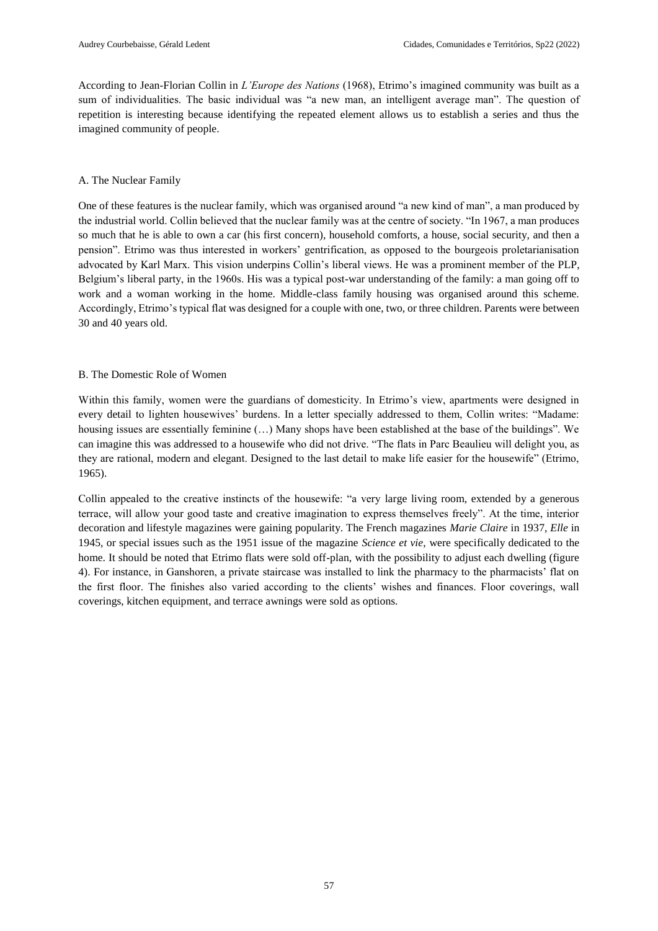According to Jean-Florian Collin in *L'Europe des Nations* (1968), Etrimo's imagined community was built as a sum of individualities. The basic individual was "a new man, an intelligent average man". The question of repetition is interesting because identifying the repeated element allows us to establish a series and thus the imagined community of people.

# A. The Nuclear Family

One of these features is the nuclear family, which was organised around "a new kind of man", a man produced by the industrial world. Collin believed that the nuclear family was at the centre of society. "In 1967, a man produces so much that he is able to own a car (his first concern), household comforts, a house, social security, and then a pension". Etrimo was thus interested in workers' gentrification, as opposed to the bourgeois proletarianisation advocated by Karl Marx. This vision underpins Collin's liberal views. He was a prominent member of the PLP, Belgium's liberal party, in the 1960s. His was a typical post-war understanding of the family: a man going off to work and a woman working in the home. Middle-class family housing was organised around this scheme. Accordingly, Etrimo's typical flat was designed for a couple with one, two, or three children. Parents were between 30 and 40 years old.

# B. The Domestic Role of Women

Within this family, women were the guardians of domesticity. In Etrimo's view, apartments were designed in every detail to lighten housewives' burdens. In a letter specially addressed to them, Collin writes: "Madame: housing issues are essentially feminine (…) Many shops have been established at the base of the buildings". We can imagine this was addressed to a housewife who did not drive. "The flats in Parc Beaulieu will delight you, as they are rational, modern and elegant. Designed to the last detail to make life easier for the housewife" (Etrimo, 1965).

Collin appealed to the creative instincts of the housewife: "a very large living room, extended by a generous terrace, will allow your good taste and creative imagination to express themselves freely". At the time, interior decoration and lifestyle magazines were gaining popularity. The French magazines *Marie Claire* in 1937, *Elle* in 1945, or special issues such as the 1951 issue of the magazine *Science et vie*, were specifically dedicated to the home. It should be noted that Etrimo flats were sold off-plan, with the possibility to adjust each dwelling (figure 4). For instance, in Ganshoren, a private staircase was installed to link the pharmacy to the pharmacists' flat on the first floor. The finishes also varied according to the clients' wishes and finances. Floor coverings, wall coverings, kitchen equipment, and terrace awnings were sold as options.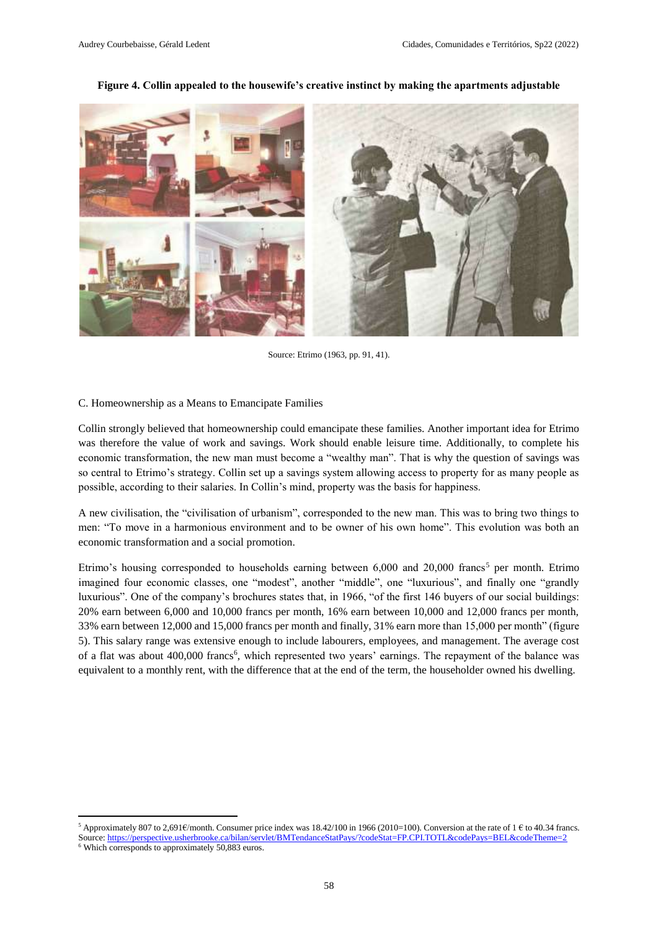

#### **Figure 4. Collin appealed to the housewife's creative instinct by making the apartments adjustable**

Source: Etrimo (1963, pp. 91, 41).

#### C. Homeownership as a Means to Emancipate Families

 $\overline{\phantom{a}}$ 

Collin strongly believed that homeownership could emancipate these families. Another important idea for Etrimo was therefore the value of work and savings. Work should enable leisure time. Additionally, to complete his economic transformation, the new man must become a "wealthy man". That is why the question of savings was so central to Etrimo's strategy. Collin set up a savings system allowing access to property for as many people as possible, according to their salaries. In Collin's mind, property was the basis for happiness.

A new civilisation, the "civilisation of urbanism", corresponded to the new man. This was to bring two things to men: "To move in a harmonious environment and to be owner of his own home". This evolution was both an economic transformation and a social promotion.

Etrimo's housing corresponded to households earning between  $6,000$  and  $20,000$  francs<sup>5</sup> per month. Etrimo imagined four economic classes, one "modest", another "middle", one "luxurious", and finally one "grandly luxurious". One of the company's brochures states that, in 1966, "of the first 146 buyers of our social buildings: 20% earn between 6,000 and 10,000 francs per month, 16% earn between 10,000 and 12,000 francs per month, 33% earn between 12,000 and 15,000 francs per month and finally, 31% earn more than 15,000 per month" (figure 5). This salary range was extensive enough to include labourers, employees, and management. The average cost of a flat was about 400,000 francs<sup>6</sup>, which represented two years' earnings. The repayment of the balance was equivalent to a monthly rent, with the difference that at the end of the term, the householder owned his dwelling.

<sup>&</sup>lt;sup>5</sup> Approximately 807 to 2,691€/month. Consumer price index was 18.42/100 in 1966 (2010=100). Conversion at the rate of 1 € to 40.34 francs. Source[: https://perspective.usherbrooke.ca/bilan/servlet/BMTendanceStatPays/?codeStat=FP.CPI.TOTL&codePays=BEL&codeTheme=2](https://perspective.usherbrooke.ca/bilan/servlet/BMTendanceStatPays/?codeStat=FP.CPI.TOTL&codePays=BEL&codeTheme=2) <sup>6</sup> Which corresponds to approximately 50,883 euros.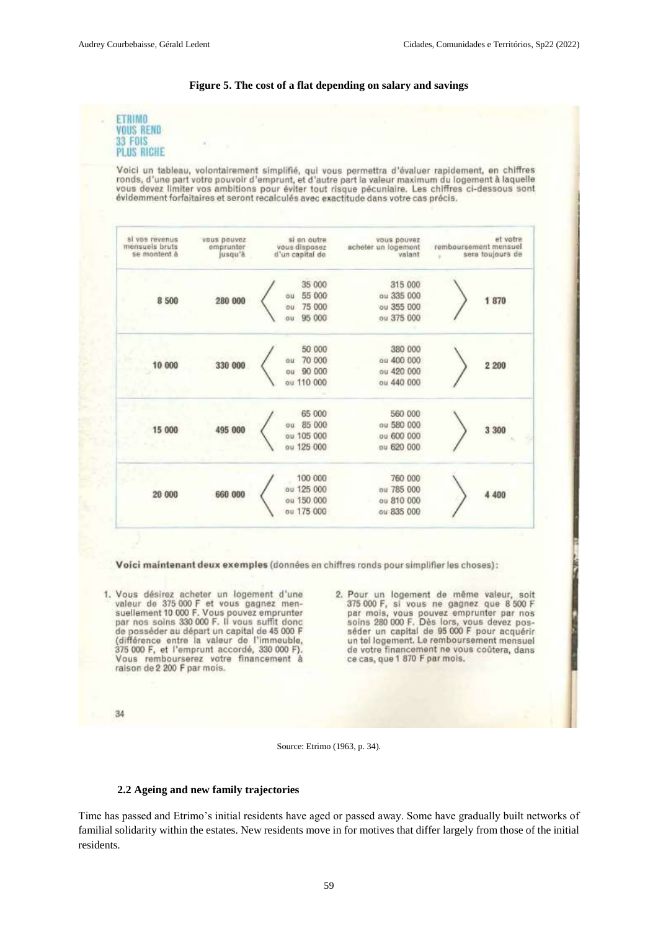#### **Figure 5. The cost of a flat depending on salary and savings**





#### **2.2 Ageing and new family trajectories**

Time has passed and Etrimo's initial residents have aged or passed away. Some have gradually built networks of familial solidarity within the estates. New residents move in for motives that differ largely from those of the initial residents.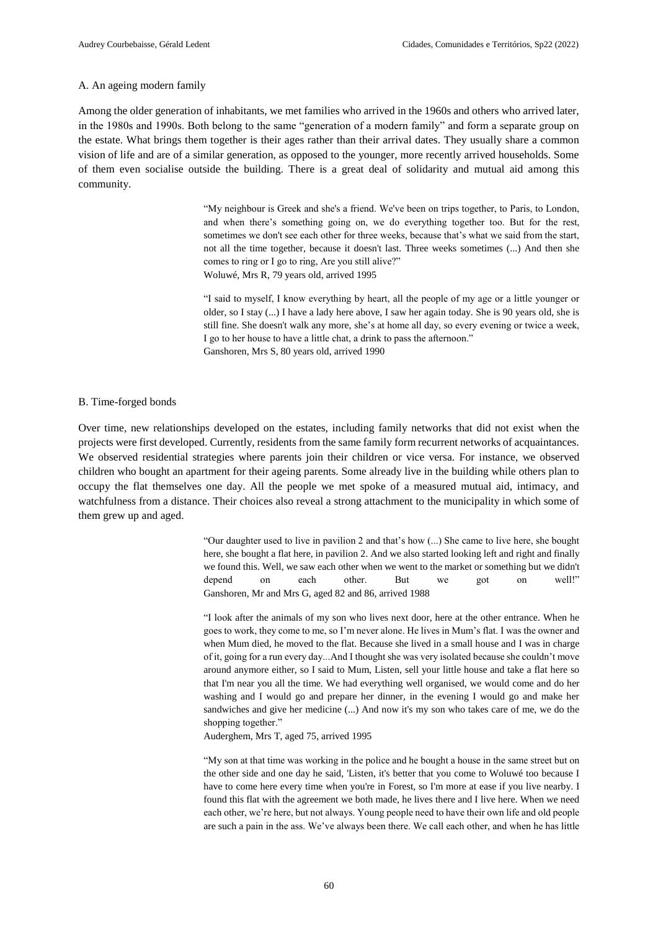#### A. An ageing modern family

Among the older generation of inhabitants, we met families who arrived in the 1960s and others who arrived later, in the 1980s and 1990s. Both belong to the same "generation of a modern family" and form a separate group on the estate. What brings them together is their ages rather than their arrival dates. They usually share a common vision of life and are of a similar generation, as opposed to the younger, more recently arrived households. Some of them even socialise outside the building. There is a great deal of solidarity and mutual aid among this community.

> "My neighbour is Greek and she's a friend. We've been on trips together, to Paris, to London, and when there's something going on, we do everything together too. But for the rest, sometimes we don't see each other for three weeks, because that's what we said from the start, not all the time together, because it doesn't last. Three weeks sometimes (...) And then she comes to ring or I go to ring, Are you still alive?" Woluwé, Mrs R, 79 years old, arrived 1995

> "I said to myself, I know everything by heart, all the people of my age or a little younger or older, so I stay (...) I have a lady here above, I saw her again today. She is 90 years old, she is still fine. She doesn't walk any more, she's at home all day, so every evening or twice a week, I go to her house to have a little chat, a drink to pass the afternoon." Ganshoren, Mrs S, 80 years old, arrived 1990

#### B. Time-forged bonds

Over time, new relationships developed on the estates, including family networks that did not exist when the projects were first developed. Currently, residents from the same family form recurrent networks of acquaintances. We observed residential strategies where parents join their children or vice versa. For instance, we observed children who bought an apartment for their ageing parents. Some already live in the building while others plan to occupy the flat themselves one day. All the people we met spoke of a measured mutual aid, intimacy, and watchfulness from a distance. Their choices also reveal a strong attachment to the municipality in which some of them grew up and aged.

> "Our daughter used to live in pavilion 2 and that's how (...) She came to live here, she bought here, she bought a flat here, in pavilion 2. And we also started looking left and right and finally we found this. Well, we saw each other when we went to the market or something but we didn't depend on each other. But we got on well!" Ganshoren, Mr and Mrs G, aged 82 and 86, arrived 1988

> "I look after the animals of my son who lives next door, here at the other entrance. When he goes to work, they come to me, so I'm never alone. He lives in Mum's flat. I was the owner and when Mum died, he moved to the flat. Because she lived in a small house and I was in charge of it, going for a run every day...And I thought she was very isolated because she couldn't move around anymore either, so I said to Mum, Listen, sell your little house and take a flat here so that I'm near you all the time. We had everything well organised, we would come and do her washing and I would go and prepare her dinner, in the evening I would go and make her sandwiches and give her medicine (...) And now it's my son who takes care of me, we do the shopping together."

Auderghem, Mrs T, aged 75, arrived 1995

"My son at that time was working in the police and he bought a house in the same street but on the other side and one day he said, 'Listen, it's better that you come to Woluwé too because I have to come here every time when you're in Forest, so I'm more at ease if you live nearby. I found this flat with the agreement we both made, he lives there and I live here. When we need each other, we're here, but not always. Young people need to have their own life and old people are such a pain in the ass. We've always been there. We call each other, and when he has little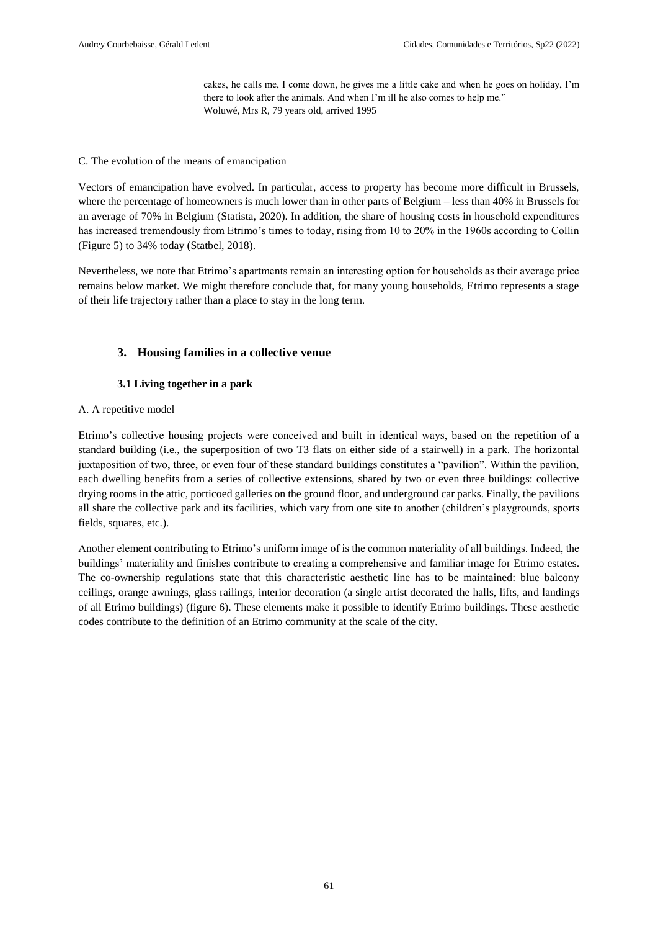cakes, he calls me, I come down, he gives me a little cake and when he goes on holiday, I'm there to look after the animals. And when I'm ill he also comes to help me." Woluwé, Mrs R, 79 years old, arrived 1995

## C. The evolution of the means of emancipation

Vectors of emancipation have evolved. In particular, access to property has become more difficult in Brussels, where the percentage of homeowners is much lower than in other parts of Belgium – less than 40% in Brussels for an average of 70% in Belgium (Statista, 2020). In addition, the share of housing costs in household expenditures has increased tremendously from Etrimo's times to today, rising from 10 to 20% in the 1960s according to Collin (Figure 5) to 34% today (Statbel, 2018).

Nevertheless, we note that Etrimo's apartments remain an interesting option for households as their average price remains below market. We might therefore conclude that, for many young households, Etrimo represents a stage of their life trajectory rather than a place to stay in the long term.

# **3. Housing families in a collective venue**

# **3.1 Living together in a park**

# A. A repetitive model

Etrimo's collective housing projects were conceived and built in identical ways, based on the repetition of a standard building (i.e., the superposition of two T3 flats on either side of a stairwell) in a park. The horizontal juxtaposition of two, three, or even four of these standard buildings constitutes a "pavilion". Within the pavilion, each dwelling benefits from a series of collective extensions, shared by two or even three buildings: collective drying rooms in the attic, porticoed galleries on the ground floor, and underground car parks. Finally, the pavilions all share the collective park and its facilities, which vary from one site to another (children's playgrounds, sports fields, squares, etc.).

Another element contributing to Etrimo's uniform image of is the common materiality of all buildings. Indeed, the buildings' materiality and finishes contribute to creating a comprehensive and familiar image for Etrimo estates. The co-ownership regulations state that this characteristic aesthetic line has to be maintained: blue balcony ceilings, orange awnings, glass railings, interior decoration (a single artist decorated the halls, lifts, and landings of all Etrimo buildings) (figure 6). These elements make it possible to identify Etrimo buildings. These aesthetic codes contribute to the definition of an Etrimo community at the scale of the city.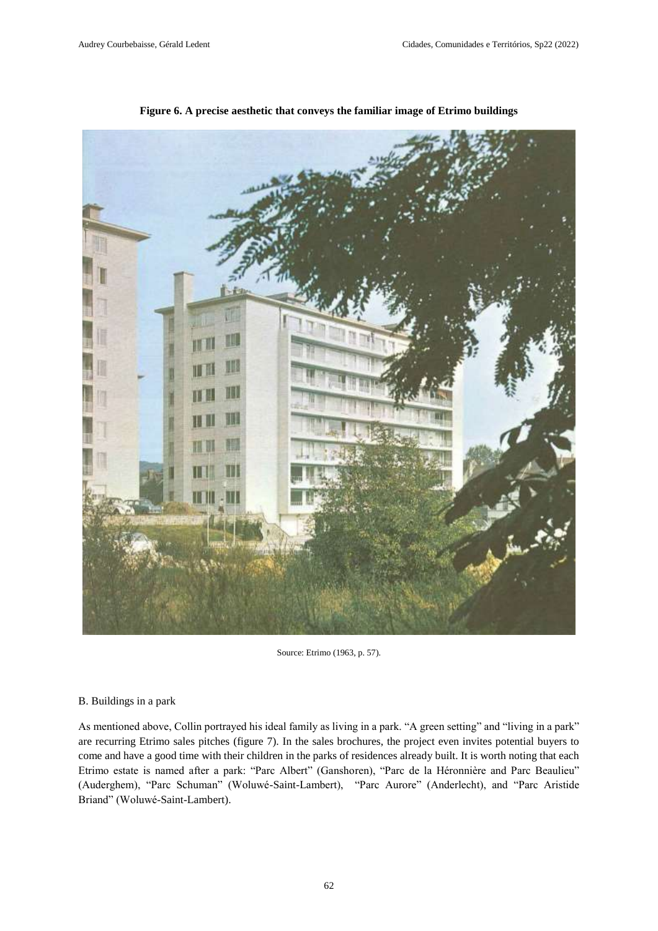

**Figure 6. A precise aesthetic that conveys the familiar image of Etrimo buildings**

Source: Etrimo (1963, p. 57).

#### B. Buildings in a park

As mentioned above, Collin portrayed his ideal family as living in a park. "A green setting" and "living in a park" are recurring Etrimo sales pitches (figure 7). In the sales brochures, the project even invites potential buyers to come and have a good time with their children in the parks of residences already built. It is worth noting that each Etrimo estate is named after a park: "Parc Albert" (Ganshoren), "Parc de la Héronnière and Parc Beaulieu" (Auderghem), "Parc Schuman" (Woluwé-Saint-Lambert), "Parc Aurore" (Anderlecht), and "Parc Aristide Briand" (Woluwé-Saint-Lambert).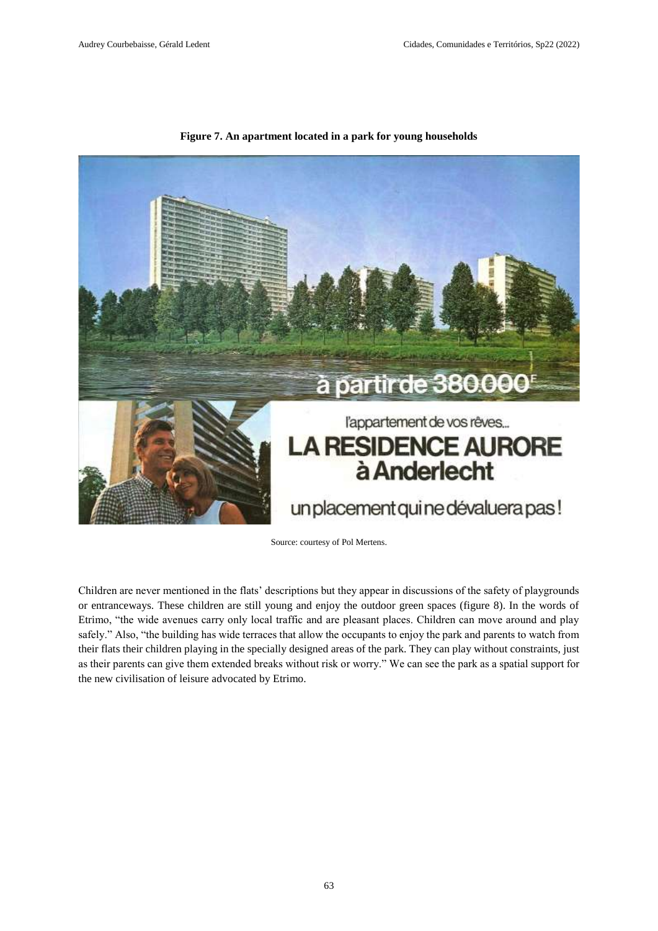

**Figure 7. An apartment located in a park for young households**

Source: courtesy of Pol Mertens.

Children are never mentioned in the flats' descriptions but they appear in discussions of the safety of playgrounds or entranceways. These children are still young and enjoy the outdoor green spaces (figure 8). In the words of Etrimo, "the wide avenues carry only local traffic and are pleasant places. Children can move around and play safely." Also, "the building has wide terraces that allow the occupants to enjoy the park and parents to watch from their flats their children playing in the specially designed areas of the park. They can play without constraints, just as their parents can give them extended breaks without risk or worry." We can see the park as a spatial support for the new civilisation of leisure advocated by Etrimo.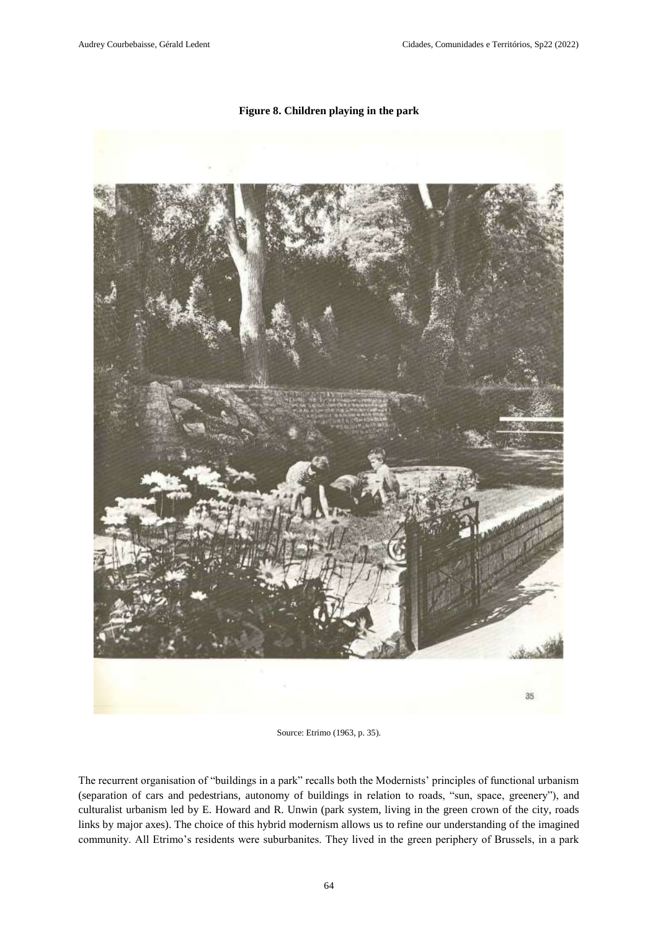# **Figure 8. Children playing in the park**



Source: Etrimo (1963, p. 35).

The recurrent organisation of "buildings in a park" recalls both the Modernists' principles of functional urbanism (separation of cars and pedestrians, autonomy of buildings in relation to roads, "sun, space, greenery"), and culturalist urbanism led by E. Howard and R. Unwin (park system, living in the green crown of the city, roads links by major axes). The choice of this hybrid modernism allows us to refine our understanding of the imagined community. All Etrimo's residents were suburbanites. They lived in the green periphery of Brussels, in a park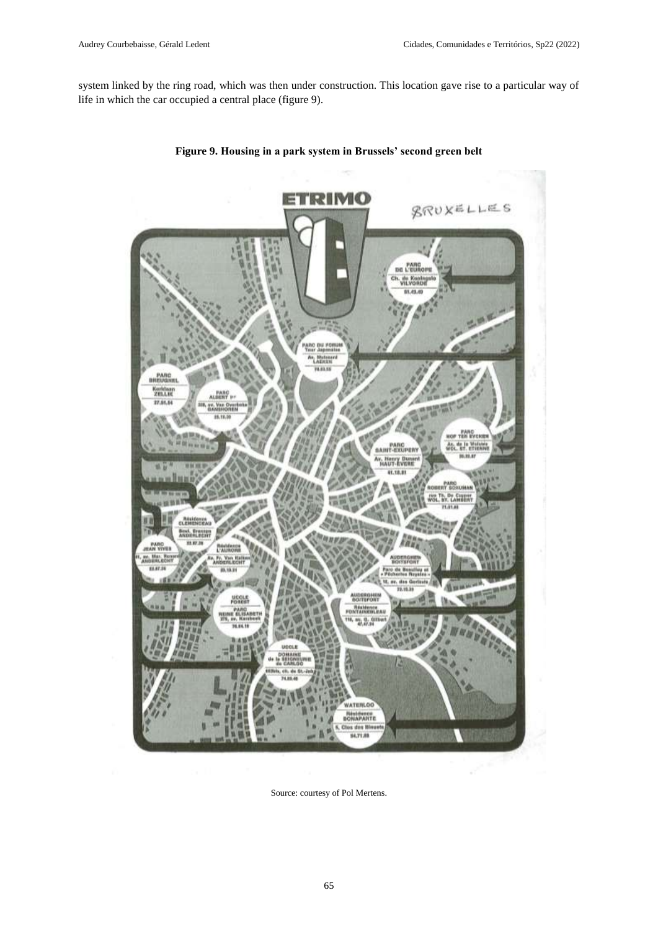system linked by the ring road, which was then under construction. This location gave rise to a particular way of life in which the car occupied a central place (figure 9).



**Figure 9. Housing in a park system in Brussels' second green belt**

Source: courtesy of Pol Mertens.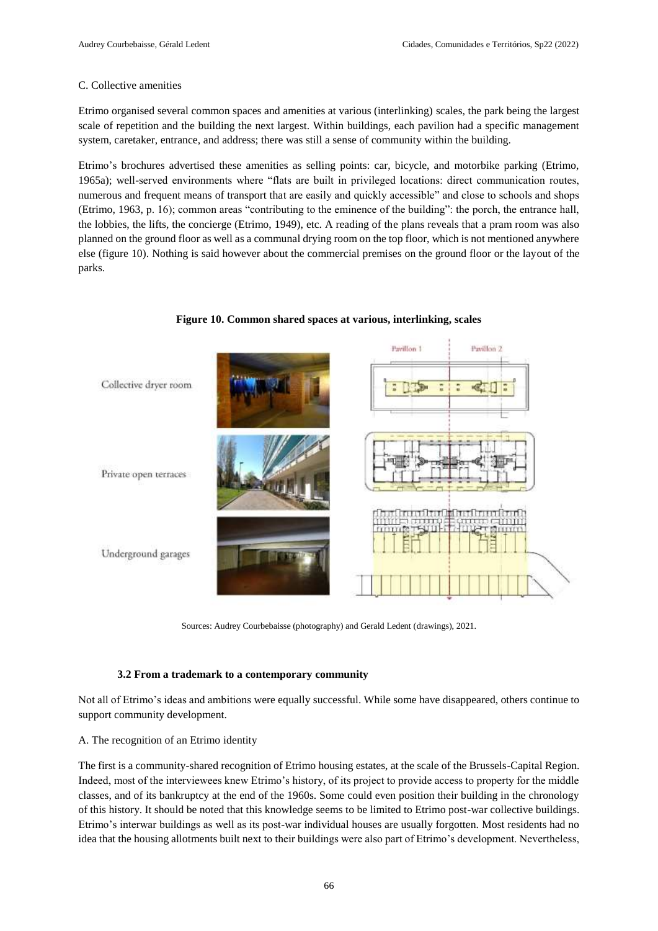# C. Collective amenities

Etrimo organised several common spaces and amenities at various (interlinking) scales, the park being the largest scale of repetition and the building the next largest. Within buildings, each pavilion had a specific management system, caretaker, entrance, and address; there was still a sense of community within the building.

Etrimo's brochures advertised these amenities as selling points: car, bicycle, and motorbike parking (Etrimo, 1965a); well-served environments where "flats are built in privileged locations: direct communication routes, numerous and frequent means of transport that are easily and quickly accessible" and close to schools and shops (Etrimo, 1963, p. 16); common areas "contributing to the eminence of the building": the porch, the entrance hall, the lobbies, the lifts, the concierge (Etrimo, 1949), etc. A reading of the plans reveals that a pram room was also planned on the ground floor as well as a communal drying room on the top floor, which is not mentioned anywhere else (figure 10). Nothing is said however about the commercial premises on the ground floor or the layout of the parks.



**Figure 10. Common shared spaces at various, interlinking, scales**

Sources: Audrey Courbebaisse (photography) and Gerald Ledent (drawings), 2021.

# **3.2 From a trademark to a contemporary community**

Not all of Etrimo's ideas and ambitions were equally successful. While some have disappeared, others continue to support community development.

# A. The recognition of an Etrimo identity

The first is a community-shared recognition of Etrimo housing estates, at the scale of the Brussels-Capital Region. Indeed, most of the interviewees knew Etrimo's history, of its project to provide access to property for the middle classes, and of its bankruptcy at the end of the 1960s. Some could even position their building in the chronology of this history. It should be noted that this knowledge seems to be limited to Etrimo post-war collective buildings. Etrimo's interwar buildings as well as its post-war individual houses are usually forgotten. Most residents had no idea that the housing allotments built next to their buildings were also part of Etrimo's development. Nevertheless,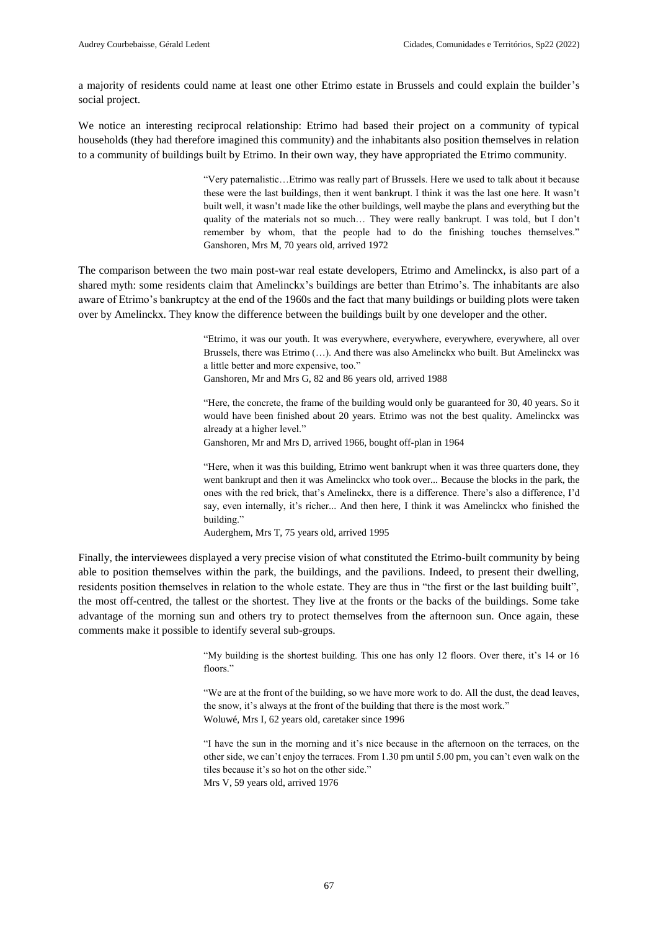a majority of residents could name at least one other Etrimo estate in Brussels and could explain the builder's social project.

We notice an interesting reciprocal relationship: Etrimo had based their project on a community of typical households (they had therefore imagined this community) and the inhabitants also position themselves in relation to a community of buildings built by Etrimo. In their own way, they have appropriated the Etrimo community.

> "Very paternalistic…Etrimo was really part of Brussels. Here we used to talk about it because these were the last buildings, then it went bankrupt. I think it was the last one here. It wasn't built well, it wasn't made like the other buildings, well maybe the plans and everything but the quality of the materials not so much… They were really bankrupt. I was told, but I don't remember by whom, that the people had to do the finishing touches themselves." Ganshoren, Mrs M, 70 years old, arrived 1972

The comparison between the two main post-war real estate developers, Etrimo and Amelinckx, is also part of a shared myth: some residents claim that Amelinckx's buildings are better than Etrimo's. The inhabitants are also aware of Etrimo's bankruptcy at the end of the 1960s and the fact that many buildings or building plots were taken over by Amelinckx. They know the difference between the buildings built by one developer and the other.

> "Etrimo, it was our youth. It was everywhere, everywhere, everywhere, everywhere, all over Brussels, there was Etrimo (…). And there was also Amelinckx who built. But Amelinckx was a little better and more expensive, too."

Ganshoren, Mr and Mrs G, 82 and 86 years old, arrived 1988

"Here, the concrete, the frame of the building would only be guaranteed for 30, 40 years. So it would have been finished about 20 years. Etrimo was not the best quality. Amelinckx was already at a higher level."

Ganshoren, Mr and Mrs D, arrived 1966, bought off-plan in 1964

"Here, when it was this building, Etrimo went bankrupt when it was three quarters done, they went bankrupt and then it was Amelinckx who took over... Because the blocks in the park, the ones with the red brick, that's Amelinckx, there is a difference. There's also a difference, I'd say, even internally, it's richer... And then here, I think it was Amelinckx who finished the building."

Auderghem, Mrs T, 75 years old, arrived 1995

Finally, the interviewees displayed a very precise vision of what constituted the Etrimo-built community by being able to position themselves within the park, the buildings, and the pavilions. Indeed, to present their dwelling, residents position themselves in relation to the whole estate. They are thus in "the first or the last building built", the most off-centred, the tallest or the shortest. They live at the fronts or the backs of the buildings. Some take advantage of the morning sun and others try to protect themselves from the afternoon sun. Once again, these comments make it possible to identify several sub-groups.

> "My building is the shortest building. This one has only 12 floors. Over there, it's 14 or 16 floors."

> "We are at the front of the building, so we have more work to do. All the dust, the dead leaves, the snow, it's always at the front of the building that there is the most work." Woluwé, Mrs I, 62 years old, caretaker since 1996

> "I have the sun in the morning and it's nice because in the afternoon on the terraces, on the other side, we can't enjoy the terraces. From 1.30 pm until 5.00 pm, you can't even walk on the tiles because it's so hot on the other side." Mrs V, 59 years old, arrived 1976

> > 67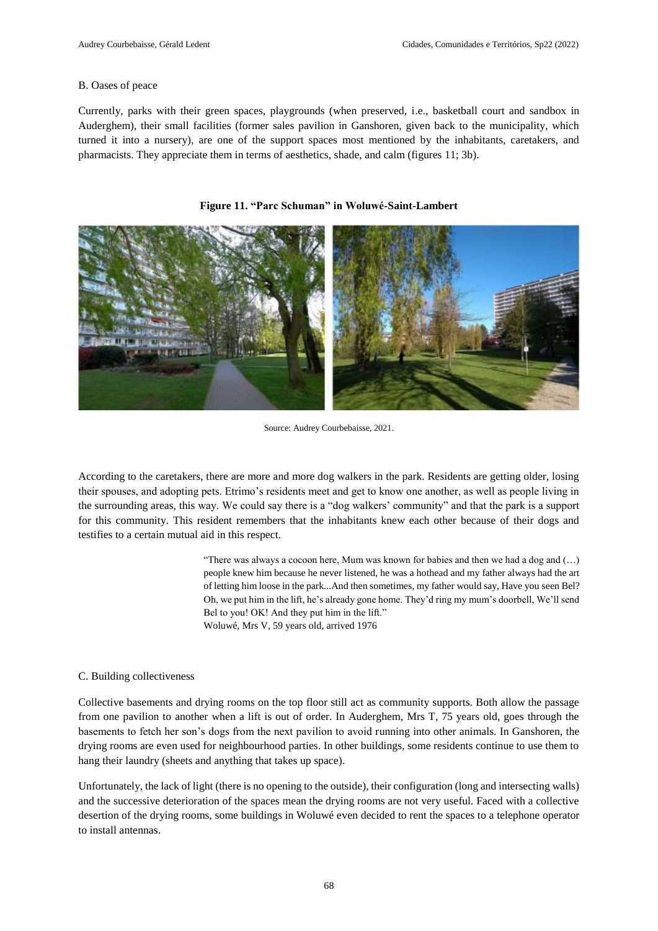## B. Oases of peace

Currently, parks with their green spaces, playgrounds (when preserved, i.e., basketball court and sandbox in Auderghem), their small facilities (former sales pavilion in Ganshoren, given back to the municipality, which turned it into a nursery), are one of the support spaces most mentioned by the inhabitants, caretakers, and pharmacists. They appreciate them in terms of aesthetics, shade, and calm (figures 11; 3b).



#### **Figure 11. "Parc Schuman" in Woluwé-Saint-Lambert**

Source: Audrey Courbebaisse, 2021.

According to the caretakers, there are more and more dog walkers in the park. Residents are getting older, losing their spouses, and adopting pets. Etrimo's residents meet and get to know one another, as well as people living in the surrounding areas, this way. We could say there is a "dog walkers' community" and that the park is a support for this community. This resident remembers that the inhabitants knew each other because of their dogs and testifies to a certain mutual aid in this respect.

> "There was always a cocoon here, Mum was known for babies and then we had a dog and (…) people knew him because he never listened, he was a hothead and my father always had the art of letting him loose in the park...And then sometimes, my father would say, Have you seen Bel? Oh, we put him in the lift, he's already gone home. They'd ring my mum's doorbell, We'll send Bel to you! OK! And they put him in the lift." Woluwé, Mrs V, 59 years old, arrived 1976

#### C. Building collectiveness

Collective basements and drying rooms on the top floor still act as community supports. Both allow the passage from one pavilion to another when a lift is out of order. In Auderghem, Mrs T, 75 years old, goes through the basements to fetch her son's dogs from the next pavilion to avoid running into other animals. In Ganshoren, the drying rooms are even used for neighbourhood parties. In other buildings, some residents continue to use them to hang their laundry (sheets and anything that takes up space).

Unfortunately, the lack of light (there is no opening to the outside), their configuration (long and intersecting walls) and the successive deterioration of the spaces mean the drying rooms are not very useful. Faced with a collective desertion of the drying rooms, some buildings in Woluwé even decided to rent the spaces to a telephone operator to install antennas.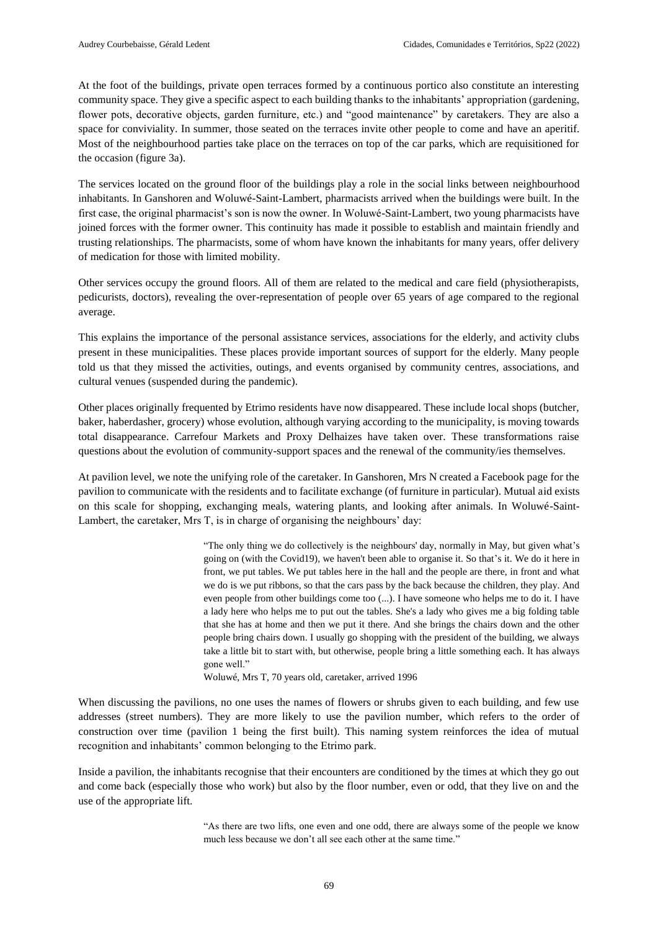At the foot of the buildings, private open terraces formed by a continuous portico also constitute an interesting community space. They give a specific aspect to each building thanks to the inhabitants' appropriation (gardening, flower pots, decorative objects, garden furniture, etc.) and "good maintenance" by caretakers. They are also a space for conviviality. In summer, those seated on the terraces invite other people to come and have an aperitif. Most of the neighbourhood parties take place on the terraces on top of the car parks, which are requisitioned for the occasion (figure 3a).

The services located on the ground floor of the buildings play a role in the social links between neighbourhood inhabitants. In Ganshoren and Woluwé-Saint-Lambert, pharmacists arrived when the buildings were built. In the first case, the original pharmacist's son is now the owner. In Woluwé-Saint-Lambert, two young pharmacists have joined forces with the former owner. This continuity has made it possible to establish and maintain friendly and trusting relationships. The pharmacists, some of whom have known the inhabitants for many years, offer delivery of medication for those with limited mobility.

Other services occupy the ground floors. All of them are related to the medical and care field (physiotherapists, pedicurists, doctors), revealing the over-representation of people over 65 years of age compared to the regional average.

This explains the importance of the personal assistance services, associations for the elderly, and activity clubs present in these municipalities. These places provide important sources of support for the elderly. Many people told us that they missed the activities, outings, and events organised by community centres, associations, and cultural venues (suspended during the pandemic).

Other places originally frequented by Etrimo residents have now disappeared. These include local shops (butcher, baker, haberdasher, grocery) whose evolution, although varying according to the municipality, is moving towards total disappearance. Carrefour Markets and Proxy Delhaizes have taken over. These transformations raise questions about the evolution of community-support spaces and the renewal of the community/ies themselves.

At pavilion level, we note the unifying role of the caretaker. In Ganshoren, Mrs N created a Facebook page for the pavilion to communicate with the residents and to facilitate exchange (of furniture in particular). Mutual aid exists on this scale for shopping, exchanging meals, watering plants, and looking after animals. In Woluwé-Saint-Lambert, the caretaker, Mrs T, is in charge of organising the neighbours' day:

> "The only thing we do collectively is the neighbours' day, normally in May, but given what's going on (with the Covid19), we haven't been able to organise it. So that's it. We do it here in front, we put tables. We put tables here in the hall and the people are there, in front and what we do is we put ribbons, so that the cars pass by the back because the children, they play. And even people from other buildings come too (...). I have someone who helps me to do it. I have a lady here who helps me to put out the tables. She's a lady who gives me a big folding table that she has at home and then we put it there. And she brings the chairs down and the other people bring chairs down. I usually go shopping with the president of the building, we always take a little bit to start with, but otherwise, people bring a little something each. It has always gone well."

Woluwé, Mrs T, 70 years old, caretaker, arrived 1996

When discussing the pavilions, no one uses the names of flowers or shrubs given to each building, and few use addresses (street numbers). They are more likely to use the pavilion number, which refers to the order of construction over time (pavilion 1 being the first built). This naming system reinforces the idea of mutual recognition and inhabitants' common belonging to the Etrimo park.

Inside a pavilion, the inhabitants recognise that their encounters are conditioned by the times at which they go out and come back (especially those who work) but also by the floor number, even or odd, that they live on and the use of the appropriate lift.

> "As there are two lifts, one even and one odd, there are always some of the people we know much less because we don't all see each other at the same time."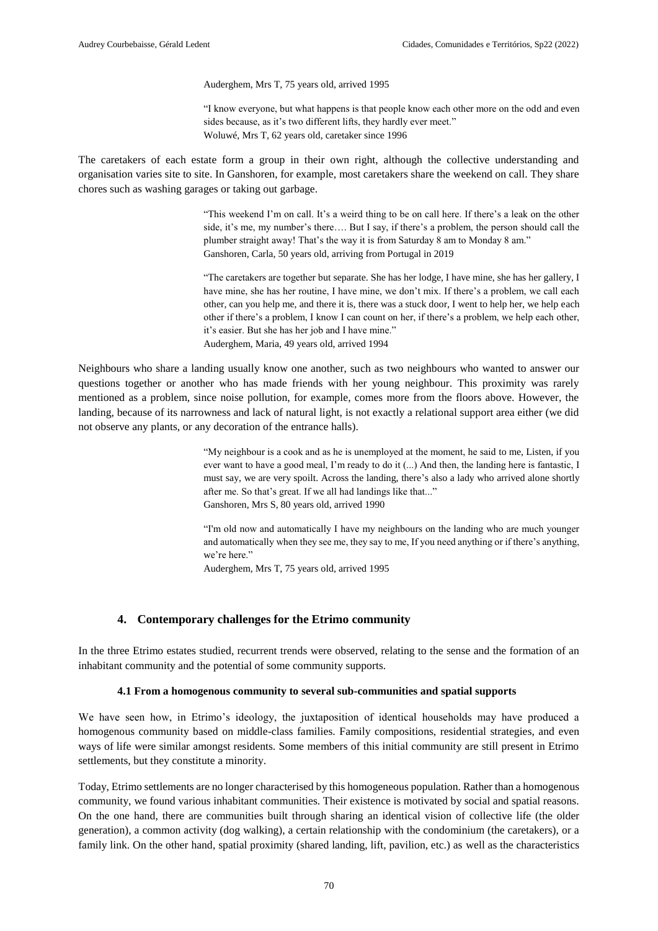Auderghem, Mrs T, 75 years old, arrived 1995

"I know everyone, but what happens is that people know each other more on the odd and even sides because, as it's two different lifts, they hardly ever meet." Woluwé, Mrs T, 62 years old, caretaker since 1996

The caretakers of each estate form a group in their own right, although the collective understanding and organisation varies site to site. In Ganshoren, for example, most caretakers share the weekend on call. They share chores such as washing garages or taking out garbage.

> "This weekend I'm on call. It's a weird thing to be on call here. If there's a leak on the other side, it's me, my number's there…. But I say, if there's a problem, the person should call the plumber straight away! That's the way it is from Saturday 8 am to Monday 8 am." Ganshoren, Carla, 50 years old, arriving from Portugal in 2019

> "The caretakers are together but separate. She has her lodge, I have mine, she has her gallery, I have mine, she has her routine, I have mine, we don't mix. If there's a problem, we call each other, can you help me, and there it is, there was a stuck door, I went to help her, we help each other if there's a problem, I know I can count on her, if there's a problem, we help each other, it's easier. But she has her job and I have mine." Auderghem, Maria, 49 years old, arrived 1994

Neighbours who share a landing usually know one another, such as two neighbours who wanted to answer our questions together or another who has made friends with her young neighbour. This proximity was rarely mentioned as a problem, since noise pollution, for example, comes more from the floors above. However, the landing, because of its narrowness and lack of natural light, is not exactly a relational support area either (we did not observe any plants, or any decoration of the entrance halls).

> "My neighbour is a cook and as he is unemployed at the moment, he said to me, Listen, if you ever want to have a good meal, I'm ready to do it (...) And then, the landing here is fantastic, I must say, we are very spoilt. Across the landing, there's also a lady who arrived alone shortly after me. So that's great. If we all had landings like that..." Ganshoren, Mrs S, 80 years old, arrived 1990

> "I'm old now and automatically I have my neighbours on the landing who are much younger and automatically when they see me, they say to me, If you need anything or if there's anything, we're here."

Auderghem, Mrs T, 75 years old, arrived 1995

#### **4. Contemporary challenges for the Etrimo community**

In the three Etrimo estates studied, recurrent trends were observed, relating to the sense and the formation of an inhabitant community and the potential of some community supports.

#### **4.1 From a homogenous community to several sub-communities and spatial supports**

We have seen how, in Etrimo's ideology, the juxtaposition of identical households may have produced a homogenous community based on middle-class families. Family compositions, residential strategies, and even ways of life were similar amongst residents. Some members of this initial community are still present in Etrimo settlements, but they constitute a minority.

Today, Etrimo settlements are no longer characterised by this homogeneous population. Rather than a homogenous community, we found various inhabitant communities. Their existence is motivated by social and spatial reasons. On the one hand, there are communities built through sharing an identical vision of collective life (the older generation), a common activity (dog walking), a certain relationship with the condominium (the caretakers), or a family link. On the other hand, spatial proximity (shared landing, lift, pavilion, etc.) as well as the characteristics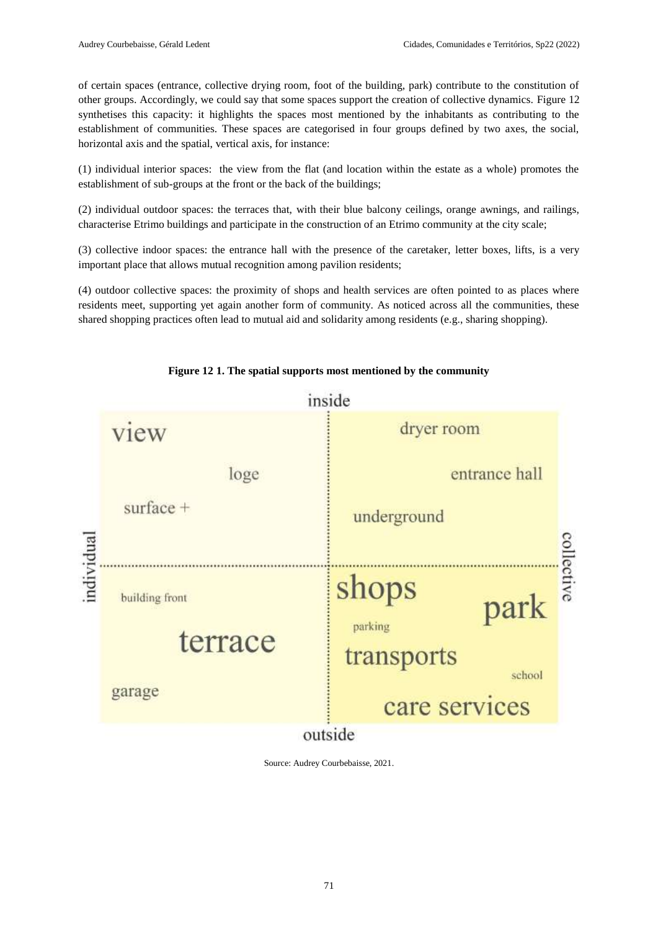of certain spaces (entrance, collective drying room, foot of the building, park) contribute to the constitution of other groups. Accordingly, we could say that some spaces support the creation of collective dynamics. Figure 12 synthetises this capacity: it highlights the spaces most mentioned by the inhabitants as contributing to the establishment of communities. These spaces are categorised in four groups defined by two axes, the social, horizontal axis and the spatial, vertical axis, for instance:

(1) individual interior spaces: the view from the flat (and location within the estate as a whole) promotes the establishment of sub-groups at the front or the back of the buildings;

(2) individual outdoor spaces: the terraces that, with their blue balcony ceilings, orange awnings, and railings, characterise Etrimo buildings and participate in the construction of an Etrimo community at the city scale;

(3) collective indoor spaces: the entrance hall with the presence of the caretaker, letter boxes, lifts, is a very important place that allows mutual recognition among pavilion residents;

(4) outdoor collective spaces: the proximity of shops and health services are often pointed to as places where residents meet, supporting yet again another form of community. As noticed across all the communities, these shared shopping practices often lead to mutual aid and solidarity among residents (e.g., sharing shopping).



**Figure 12 1. The spatial supports most mentioned by the community**

Source: Audrey Courbebaisse, 2021.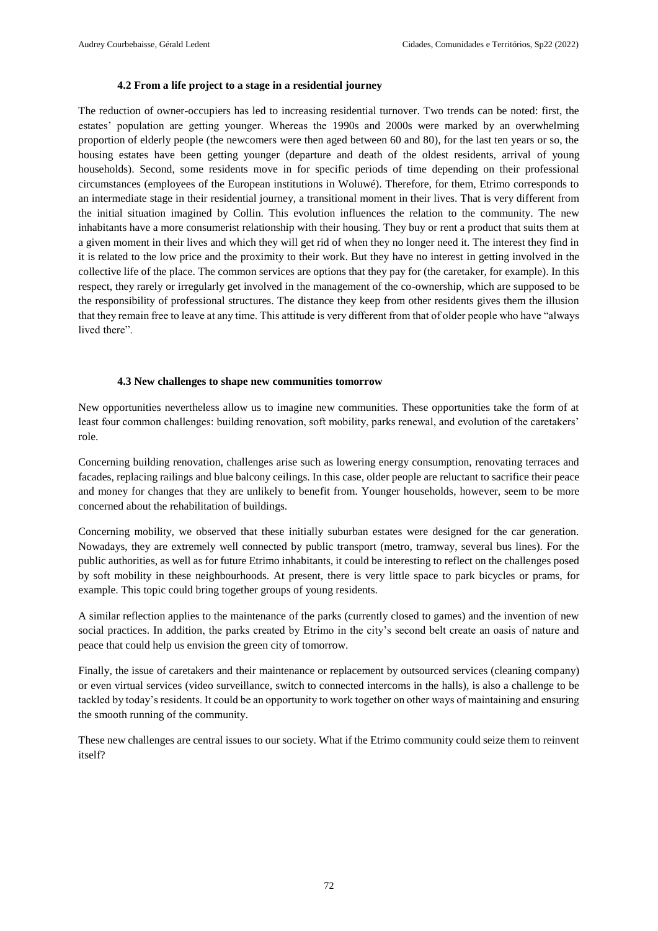# **4.2 From a life project to a stage in a residential journey**

The reduction of owner-occupiers has led to increasing residential turnover. Two trends can be noted: first, the estates' population are getting younger. Whereas the 1990s and 2000s were marked by an overwhelming proportion of elderly people (the newcomers were then aged between 60 and 80), for the last ten years or so, the housing estates have been getting younger (departure and death of the oldest residents, arrival of young households). Second, some residents move in for specific periods of time depending on their professional circumstances (employees of the European institutions in Woluwé). Therefore, for them, Etrimo corresponds to an intermediate stage in their residential journey, a transitional moment in their lives. That is very different from the initial situation imagined by Collin. This evolution influences the relation to the community. The new inhabitants have a more consumerist relationship with their housing. They buy or rent a product that suits them at a given moment in their lives and which they will get rid of when they no longer need it. The interest they find in it is related to the low price and the proximity to their work. But they have no interest in getting involved in the collective life of the place. The common services are options that they pay for (the caretaker, for example). In this respect, they rarely or irregularly get involved in the management of the co-ownership, which are supposed to be the responsibility of professional structures. The distance they keep from other residents gives them the illusion that they remain free to leave at any time. This attitude is very different from that of older people who have "always lived there".

# **4.3 New challenges to shape new communities tomorrow**

New opportunities nevertheless allow us to imagine new communities. These opportunities take the form of at least four common challenges: building renovation, soft mobility, parks renewal, and evolution of the caretakers' role.

Concerning building renovation, challenges arise such as lowering energy consumption, renovating terraces and facades, replacing railings and blue balcony ceilings. In this case, older people are reluctant to sacrifice their peace and money for changes that they are unlikely to benefit from. Younger households, however, seem to be more concerned about the rehabilitation of buildings.

Concerning mobility, we observed that these initially suburban estates were designed for the car generation. Nowadays, they are extremely well connected by public transport (metro, tramway, several bus lines). For the public authorities, as well as for future Etrimo inhabitants, it could be interesting to reflect on the challenges posed by soft mobility in these neighbourhoods. At present, there is very little space to park bicycles or prams, for example. This topic could bring together groups of young residents.

A similar reflection applies to the maintenance of the parks (currently closed to games) and the invention of new social practices. In addition, the parks created by Etrimo in the city's second belt create an oasis of nature and peace that could help us envision the green city of tomorrow.

Finally, the issue of caretakers and their maintenance or replacement by outsourced services (cleaning company) or even virtual services (video surveillance, switch to connected intercoms in the halls), is also a challenge to be tackled by today's residents. It could be an opportunity to work together on other ways of maintaining and ensuring the smooth running of the community.

These new challenges are central issues to our society. What if the Etrimo community could seize them to reinvent itself?